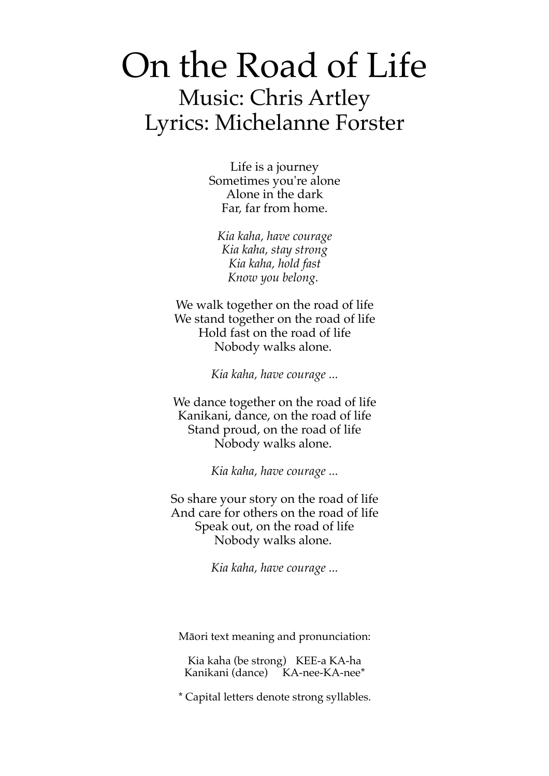## On the Road of Life Music: Chris Artley Lyrics: Michelanne Forster

Life is a journey Sometimes you're alone Alone in the dark Far, far from home.

*Kia kaha, have courage Kia kaha, stay strong Kia kaha, hold fast Know you belong.*

We walk together on the road of life We stand together on the road of life Hold fast on the road of life Nobody walks alone.

*Kia kaha, have courage ...*

We dance together on the road of life Kanikani, dance, on the road of life Stand proud, on the road of life Nobody walks alone.

*Kia kaha, have courage ...*

So share your story on the road of life And care for others on the road of life Speak out, on the road of life Nobody walks alone.

*Kia kaha, have courage ...*

Māori text meaning and pronunciation:

Kia kaha (be strong) KEE-a KA-ha Kanikani (dance) KA-nee-KA-nee\*

\* Capital letters denote strong syllables.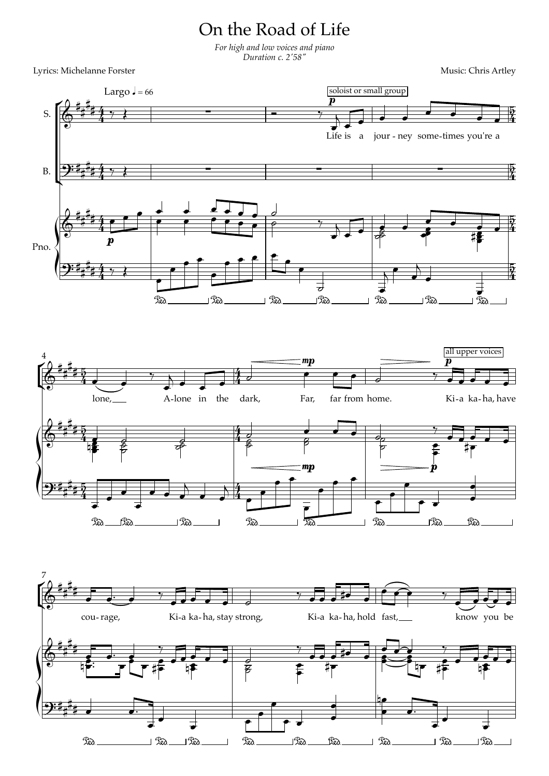## On the Road of Life

*For high and low voices and piano Duration c. 2' 58"*

Lyrics: Michelanne Forster Music: Chris Artley

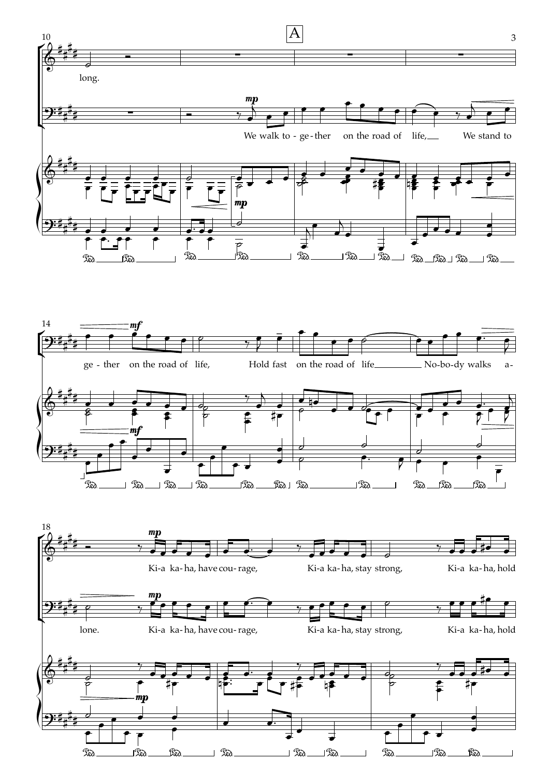

° ° ° ° ° ° ° ° °  $\Rightarrow$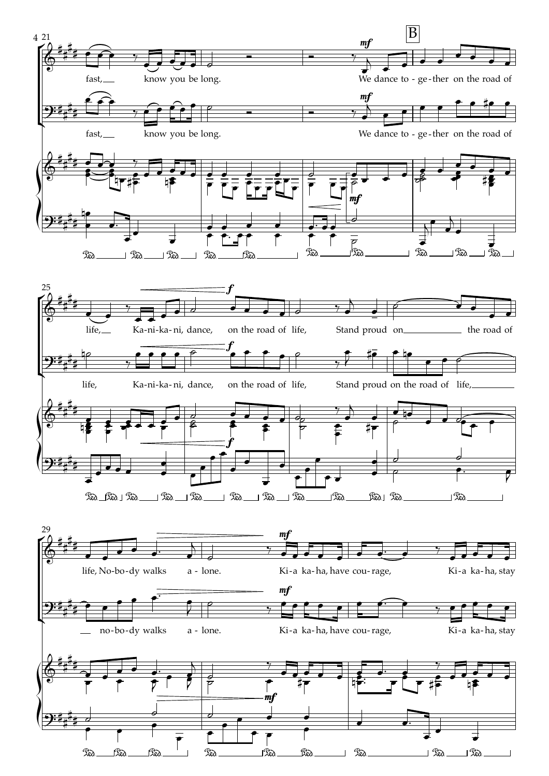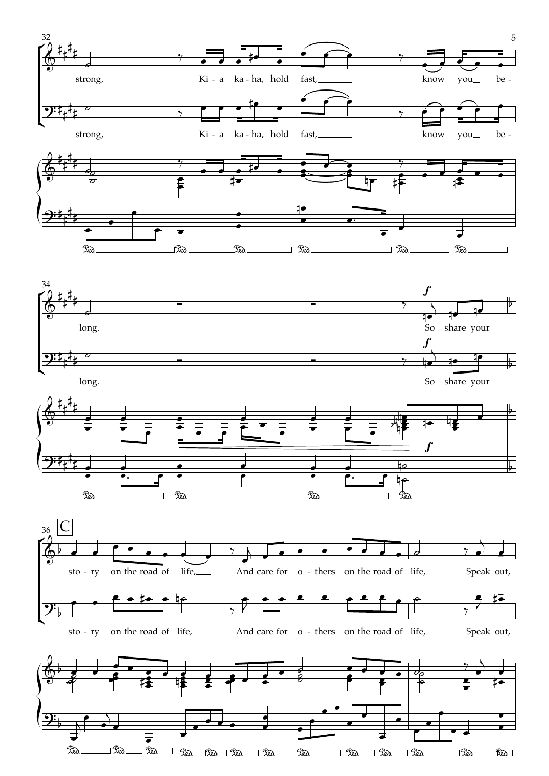